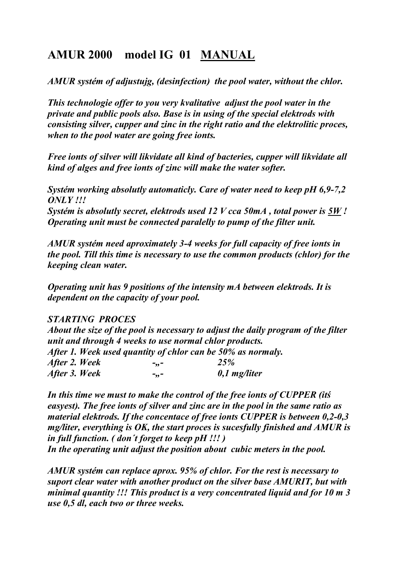# AMUR 2000 model IG 01 MAUAL

AMUR systém of adjustujg, (desinfection) the pool water, without the chlor.

This technologie offer to you very kvalitative adjust the pool water in the private and public pools also. Base is in using of the special elektrods with consisting silver, cupper and zinc in the right ratio and the elektrolitic proces, when to the pool water are going free ionts.

Free ionts of silver will likvidate all kind of bacteries, cupper will likvidate all kind of alges and free ionts of zinc will make the water softer.

Systém working absolutly automaticly. Care of water need to keep pH 6,9-7,2  $ONLY$ !!!

Systém is absolutly secret, elektrods used 12 V cca 50mA , total power is 5W ! Operating unit must be connected paralelly to pump of the filter unit.

AMUR systém need aproximately 3-4 weeks for full capacity of free ionts in the pool. Till this time is necessary to use the common products (chlor) for the keeping clean water.

Operating unit has 9 positions of the intensity mA between elektrods. It is dependent on the capacity of your pool.

## STARTI/G PROCES

About the size of the pool is necessary to adjust the daily program of the filter unit and through 4 weeks to use normal chlor products. After 1. Week used quantity of chlor can be 50% as normaly. After 2. Week - - - 25% After 3. Week  $\hspace{1.6cm} -$ ,...  $\hspace{1.6cm} 0,1$  mg/liter

In this time we must to make the control of the free ionts of CUPPER (itś easyest). The free ionts of silver and zinc are in the pool in the same ratio as material elektrods. If the concentace of free ionts CUPPER is between 0,2-0,3 mg/liter, everything is OK, the start proces is sucesfully finished and AMUR is in full function. ( don´t forget to keep pH !!! ) In the operating unit adjust the position about cubic meters in the pool.

AMUR systém can replace aprox. 95% of chlor. For the rest is necessary to suport clear water with another product on the silver base AMURIT, but with minimal quantity !!! This product is a very concentrated liquid and for 10 m 3 use 0,5 dl, each two or three weeks.